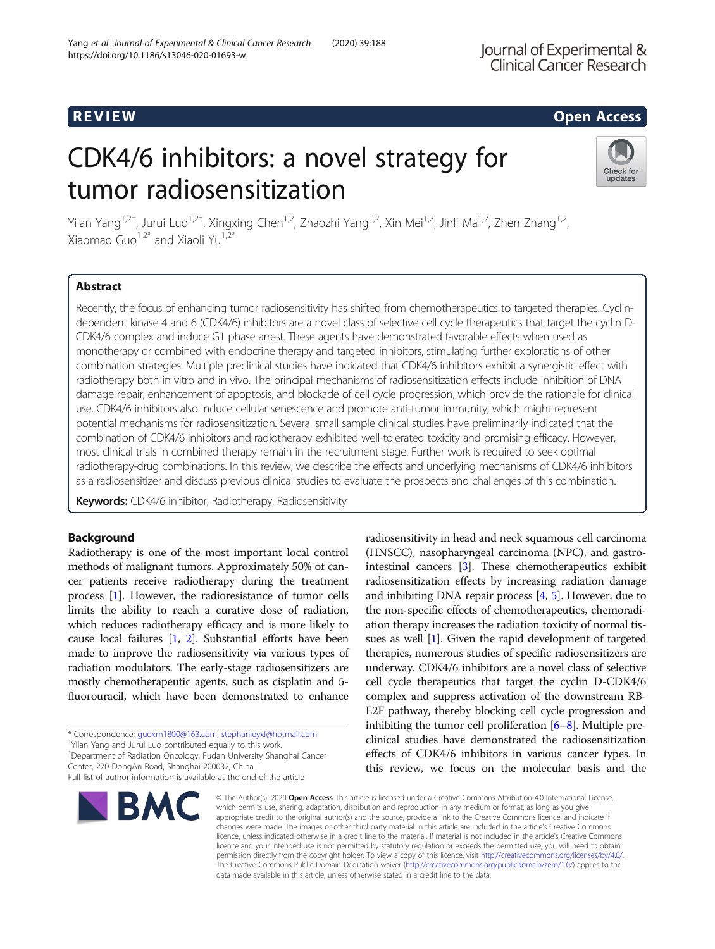# R EVI EW Open Access

# CDK4/6 inhibitors: a novel strategy for tumor radiosensitization



Yilan Yang<sup>1,2†</sup>, Jurui Luo<sup>1,2†</sup>, Xingxing Chen<sup>1,2</sup>, Zhaozhi Yang<sup>1,2</sup>, Xin Mei<sup>1,2</sup>, Jinli Ma<sup>1,2</sup>, Zhen Zhang<sup>1,2</sup>, Xiaomao Guo<sup>1,2\*</sup> and Xiaoli Yu<sup>1,2\*</sup>

# Abstract

Recently, the focus of enhancing tumor radiosensitivity has shifted from chemotherapeutics to targeted therapies. Cyclindependent kinase 4 and 6 (CDK4/6) inhibitors are a novel class of selective cell cycle therapeutics that target the cyclin D-CDK4/6 complex and induce G1 phase arrest. These agents have demonstrated favorable effects when used as monotherapy or combined with endocrine therapy and targeted inhibitors, stimulating further explorations of other combination strategies. Multiple preclinical studies have indicated that CDK4/6 inhibitors exhibit a synergistic effect with radiotherapy both in vitro and in vivo. The principal mechanisms of radiosensitization effects include inhibition of DNA damage repair, enhancement of apoptosis, and blockade of cell cycle progression, which provide the rationale for clinical use. CDK4/6 inhibitors also induce cellular senescence and promote anti-tumor immunity, which might represent potential mechanisms for radiosensitization. Several small sample clinical studies have preliminarily indicated that the combination of CDK4/6 inhibitors and radiotherapy exhibited well-tolerated toxicity and promising efficacy. However, most clinical trials in combined therapy remain in the recruitment stage. Further work is required to seek optimal radiotherapy-drug combinations. In this review, we describe the effects and underlying mechanisms of CDK4/6 inhibitors as a radiosensitizer and discuss previous clinical studies to evaluate the prospects and challenges of this combination.

Keywords: CDK4/6 inhibitor, Radiotherapy, Radiosensitivity

# Background

Radiotherapy is one of the most important local control methods of malignant tumors. Approximately 50% of cancer patients receive radiotherapy during the treatment process [[1\]](#page-8-0). However, the radioresistance of tumor cells limits the ability to reach a curative dose of radiation, which reduces radiotherapy efficacy and is more likely to cause local failures [\[1](#page-8-0), [2\]](#page-8-0). Substantial efforts have been made to improve the radiosensitivity via various types of radiation modulators. The early-stage radiosensitizers are mostly chemotherapeutic agents, such as cisplatin and 5 fluorouracil, which have been demonstrated to enhance

\* Correspondence: [guoxm1800@163.com;](mailto:guoxm1800@163.com) [stephanieyxl@hotmail.com](mailto:stephanieyxl@hotmail.com) †

<sup>†</sup>Yilan Yang and Jurui Luo contributed equally to this work.

<sup>1</sup>Department of Radiation Oncology, Fudan University Shanghai Cancer Center, 270 DongAn Road, Shanghai 200032, China

Full list of author information is available at the end of the article



radiosensitivity in head and neck squamous cell carcinoma (HNSCC), nasopharyngeal carcinoma (NPC), and gastrointestinal cancers [\[3\]](#page-8-0). These chemotherapeutics exhibit radiosensitization effects by increasing radiation damage and inhibiting DNA repair process  $[4, 5]$  $[4, 5]$  $[4, 5]$  $[4, 5]$  $[4, 5]$ . However, due to the non-specific effects of chemotherapeutics, chemoradiation therapy increases the radiation toxicity of normal tissues as well [\[1\]](#page-8-0). Given the rapid development of targeted therapies, numerous studies of specific radiosensitizers are underway. CDK4/6 inhibitors are a novel class of selective cell cycle therapeutics that target the cyclin D-CDK4/6 complex and suppress activation of the downstream RB-E2F pathway, thereby blocking cell cycle progression and inhibiting the tumor cell proliferation [\[6](#page-8-0)–[8\]](#page-8-0). Multiple preclinical studies have demonstrated the radiosensitization effects of CDK4/6 inhibitors in various cancer types. In this review, we focus on the molecular basis and the

© The Author(s), 2020 **Open Access** This article is licensed under a Creative Commons Attribution 4.0 International License, which permits use, sharing, adaptation, distribution and reproduction in any medium or format, as long as you give appropriate credit to the original author(s) and the source, provide a link to the Creative Commons licence, and indicate if changes were made. The images or other third party material in this article are included in the article's Creative Commons licence, unless indicated otherwise in a credit line to the material. If material is not included in the article's Creative Commons licence and your intended use is not permitted by statutory regulation or exceeds the permitted use, you will need to obtain permission directly from the copyright holder. To view a copy of this licence, visit [http://creativecommons.org/licenses/by/4.0/.](http://creativecommons.org/licenses/by/4.0/) The Creative Commons Public Domain Dedication waiver [\(http://creativecommons.org/publicdomain/zero/1.0/](http://creativecommons.org/publicdomain/zero/1.0/)) applies to the data made available in this article, unless otherwise stated in a credit line to the data.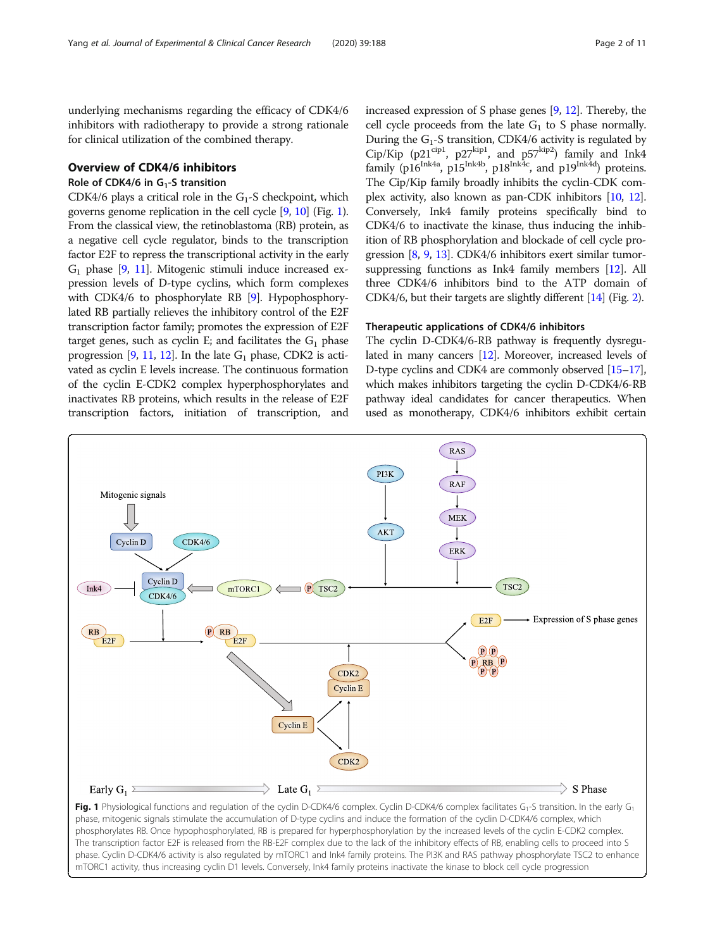<span id="page-1-0"></span>underlying mechanisms regarding the efficacy of CDK4/6 inhibitors with radiotherapy to provide a strong rationale for clinical utilization of the combined therapy.

# Overview of CDK4/6 inhibitors

# Role of CDK4/6 in  $G_1$ -S transition

CDK4/6 plays a critical role in the  $G_1$ -S checkpoint, which governs genome replication in the cell cycle [\[9,](#page-8-0) [10](#page-8-0)] (Fig. 1). From the classical view, the retinoblastoma (RB) protein, as a negative cell cycle regulator, binds to the transcription factor E2F to repress the transcriptional activity in the early  $G_1$  phase [\[9,](#page-8-0) [11\]](#page-8-0). Mitogenic stimuli induce increased expression levels of D-type cyclins, which form complexes with CDK4/6 to phosphorylate RB [\[9\]](#page-8-0). Hypophosphorylated RB partially relieves the inhibitory control of the E2F transcription factor family; promotes the expression of E2F target genes, such as cyclin E; and facilitates the  $G_1$  phase progression [[9](#page-8-0), [11](#page-8-0), [12\]](#page-8-0). In the late  $G_1$  phase, CDK2 is activated as cyclin E levels increase. The continuous formation of the cyclin E-CDK2 complex hyperphosphorylates and inactivates RB proteins, which results in the release of E2F transcription factors, initiation of transcription, and increased expression of S phase genes [\[9,](#page-8-0) [12](#page-8-0)]. Thereby, the cell cycle proceeds from the late  $G_1$  to S phase normally. During the  $G_1$ -S transition, CDK4/6 activity is regulated by Cip/Kip (p21<sup>cip1</sup>, p27<sup>kip1</sup>, and p57<sup>kip2</sup>) family and Ink4 family (p16<sup>Ink4a</sup>, p15<sup>Ink4b</sup>, p18<sup>Ink4c</sup>, and p19<sup>Ink4d</sup>) proteins. The Cip/Kip family broadly inhibits the cyclin-CDK complex activity, also known as pan-CDK inhibitors [\[10,](#page-8-0) [12](#page-8-0)]. Conversely, Ink4 family proteins specifically bind to CDK4/6 to inactivate the kinase, thus inducing the inhibition of RB phosphorylation and blockade of cell cycle progression [\[8,](#page-8-0) [9,](#page-8-0) [13](#page-8-0)]. CDK4/6 inhibitors exert similar tumorsuppressing functions as Ink4 family members [\[12\]](#page-8-0). All three CDK4/6 inhibitors bind to the ATP domain of CDK4/6, but their targets are slightly different [\[14\]](#page-8-0) (Fig. [2](#page-2-0)).

# Therapeutic applications of CDK4/6 inhibitors

The cyclin D-CDK4/6-RB pathway is frequently dysregulated in many cancers [[12](#page-8-0)]. Moreover, increased levels of D-type cyclins and CDK4 are commonly observed [\[15](#page-8-0)–[17](#page-8-0)], which makes inhibitors targeting the cyclin D-CDK4/6-RB pathway ideal candidates for cancer therapeutics. When used as monotherapy, CDK4/6 inhibitors exhibit certain



phase, mitogenic signals stimulate the accumulation of D-type cyclins and induce the formation of the cyclin D-CDK4/6 complex, which phosphorylates RB. Once hypophosphorylated, RB is prepared for hyperphosphorylation by the increased levels of the cyclin E-CDK2 complex. The transcription factor E2F is released from the RB-E2F complex due to the lack of the inhibitory effects of RB, enabling cells to proceed into S phase. Cyclin D-CDK4/6 activity is also regulated by mTORC1 and Ink4 family proteins. The PI3K and RAS pathway phosphorylate TSC2 to enhance mTORC1 activity, thus increasing cyclin D1 levels. Conversely, Ink4 family proteins inactivate the kinase to block cell cycle progression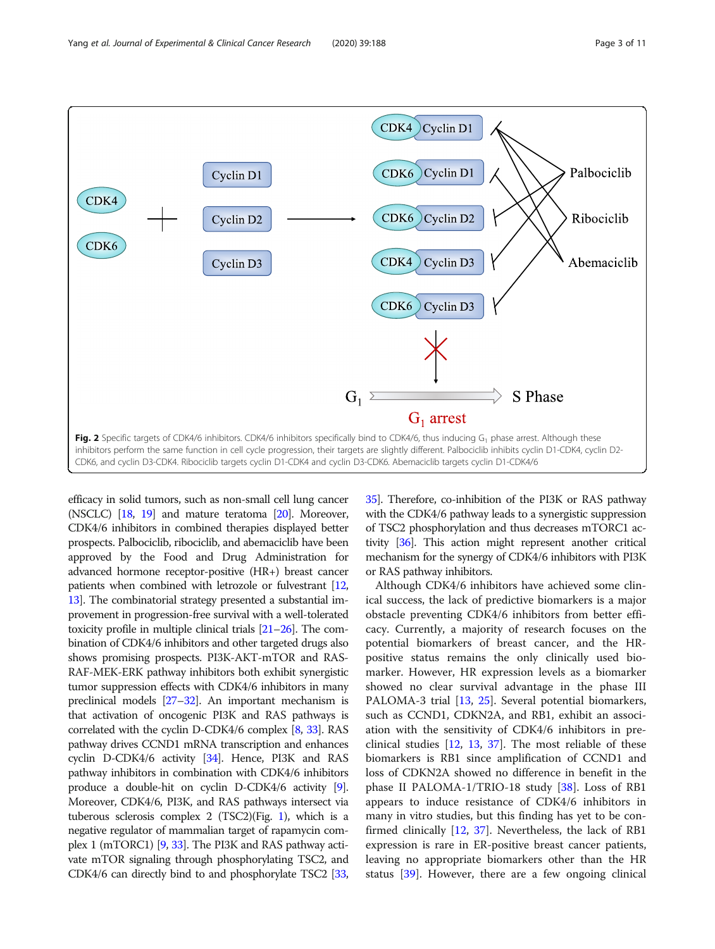<span id="page-2-0"></span>

efficacy in solid tumors, such as non-small cell lung cancer (NSCLC) [\[18](#page-8-0), [19\]](#page-8-0) and mature teratoma [[20\]](#page-8-0). Moreover, CDK4/6 inhibitors in combined therapies displayed better prospects. Palbociclib, ribociclib, and abemaciclib have been approved by the Food and Drug Administration for advanced hormone receptor-positive (HR+) breast cancer patients when combined with letrozole or fulvestrant [\[12](#page-8-0), [13](#page-8-0)]. The combinatorial strategy presented a substantial improvement in progression-free survival with a well-tolerated toxicity profile in multiple clinical trials  $[21–26]$  $[21–26]$  $[21–26]$ . The combination of CDK4/6 inhibitors and other targeted drugs also shows promising prospects. PI3K-AKT-mTOR and RAS-RAF-MEK-ERK pathway inhibitors both exhibit synergistic tumor suppression effects with CDK4/6 inhibitors in many preclinical models [\[27](#page-9-0)–[32\]](#page-9-0). An important mechanism is that activation of oncogenic PI3K and RAS pathways is correlated with the cyclin D-CDK4/6 complex [[8](#page-8-0), [33\]](#page-9-0). RAS pathway drives CCND1 mRNA transcription and enhances cyclin D-CDK4/6 activity [\[34](#page-9-0)]. Hence, PI3K and RAS pathway inhibitors in combination with CDK4/6 inhibitors produce a double-hit on cyclin D-CDK4/6 activity [[9](#page-8-0)]. Moreover, CDK4/6, PI3K, and RAS pathways intersect via tuberous sclerosis complex 2 (TSC2)(Fig. [1\)](#page-1-0), which is a negative regulator of mammalian target of rapamycin complex 1 (mTORC1) [[9](#page-8-0), [33](#page-9-0)]. The PI3K and RAS pathway activate mTOR signaling through phosphorylating TSC2, and CDK4/6 can directly bind to and phosphorylate TSC2 [\[33](#page-9-0),

[35](#page-9-0)]. Therefore, co-inhibition of the PI3K or RAS pathway with the CDK4/6 pathway leads to a synergistic suppression of TSC2 phosphorylation and thus decreases mTORC1 activity [[36](#page-9-0)]. This action might represent another critical mechanism for the synergy of CDK4/6 inhibitors with PI3K or RAS pathway inhibitors.

Although CDK4/6 inhibitors have achieved some clinical success, the lack of predictive biomarkers is a major obstacle preventing CDK4/6 inhibitors from better efficacy. Currently, a majority of research focuses on the potential biomarkers of breast cancer, and the HRpositive status remains the only clinically used biomarker. However, HR expression levels as a biomarker showed no clear survival advantage in the phase III PALOMA-3 trial [[13](#page-8-0), [25](#page-9-0)]. Several potential biomarkers, such as CCND1, CDKN2A, and RB1, exhibit an association with the sensitivity of CDK4/6 inhibitors in preclinical studies [[12,](#page-8-0) [13,](#page-8-0) [37](#page-9-0)]. The most reliable of these biomarkers is RB1 since amplification of CCND1 and loss of CDKN2A showed no difference in benefit in the phase II PALOMA-1/TRIO-18 study  $[38]$  $[38]$ . Loss of RB1 appears to induce resistance of CDK4/6 inhibitors in many in vitro studies, but this finding has yet to be confirmed clinically [[12,](#page-8-0) [37\]](#page-9-0). Nevertheless, the lack of RB1 expression is rare in ER-positive breast cancer patients, leaving no appropriate biomarkers other than the HR status [\[39](#page-9-0)]. However, there are a few ongoing clinical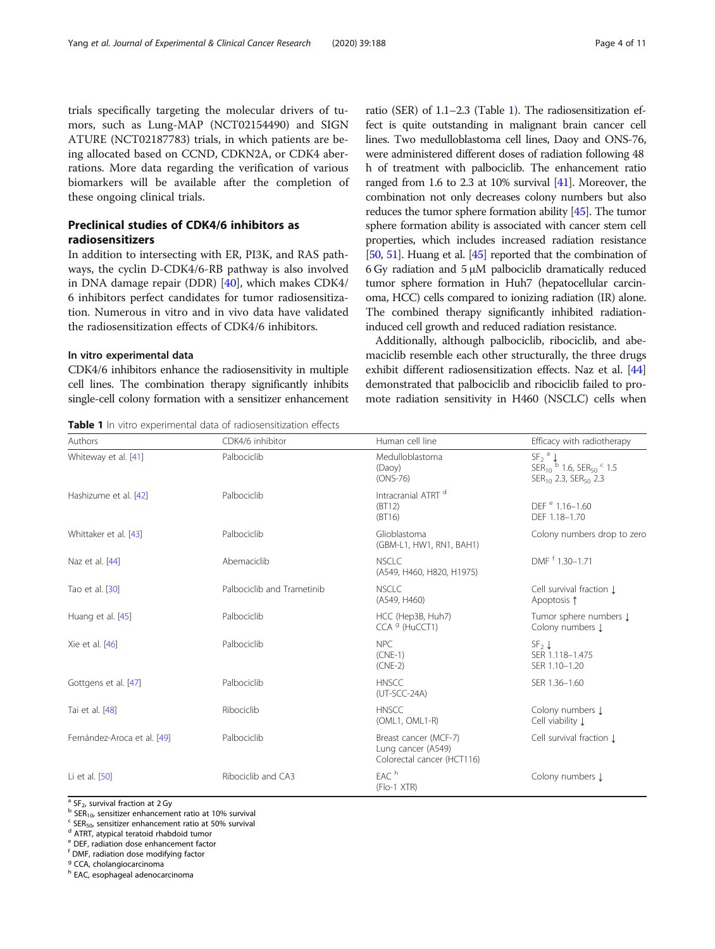trials specifically targeting the molecular drivers of tumors, such as Lung-MAP (NCT02154490) and SIGN ATURE (NCT02187783) trials, in which patients are being allocated based on CCND, CDKN2A, or CDK4 aberrations. More data regarding the verification of various biomarkers will be available after the completion of these ongoing clinical trials.

# Preclinical studies of CDK4/6 inhibitors as radiosensitizers

In addition to intersecting with ER, PI3K, and RAS pathways, the cyclin D-CDK4/6-RB pathway is also involved in DNA damage repair (DDR) [\[40\]](#page-9-0), which makes CDK4/ 6 inhibitors perfect candidates for tumor radiosensitization. Numerous in vitro and in vivo data have validated the radiosensitization effects of CDK4/6 inhibitors.

# In vitro experimental data

CDK4/6 inhibitors enhance the radiosensitivity in multiple cell lines. The combination therapy significantly inhibits single-cell colony formation with a sensitizer enhancement

Table 1 In vitro experimental data of radiosensitization effects

ratio (SER) of 1.1–2.3 (Table 1). The radiosensitization effect is quite outstanding in malignant brain cancer cell lines. Two medulloblastoma cell lines, Daoy and ONS-76, were administered different doses of radiation following 48 h of treatment with palbociclib. The enhancement ratio ranged from 1.6 to 2.3 at 10% survival [\[41\]](#page-9-0). Moreover, the combination not only decreases colony numbers but also reduces the tumor sphere formation ability [\[45\]](#page-9-0). The tumor sphere formation ability is associated with cancer stem cell properties, which includes increased radiation resistance [[50](#page-9-0), [51](#page-9-0)]. Huang et al. [\[45\]](#page-9-0) reported that the combination of 6 Gy radiation and  $5 \mu M$  palbociclib dramatically reduced tumor sphere formation in Huh7 (hepatocellular carcinoma, HCC) cells compared to ionizing radiation (IR) alone. The combined therapy significantly inhibited radiationinduced cell growth and reduced radiation resistance.

Additionally, although palbociclib, ribociclib, and abemaciclib resemble each other structurally, the three drugs exhibit different radiosensitization effects. Naz et al. [[44](#page-9-0)] demonstrated that palbociclib and ribociclib failed to promote radiation sensitivity in H460 (NSCLC) cells when

| Authors                     | CDK4/6 inhibitor           | Human cell line                                                           | Efficacy with radiotherapy                                                                                                                                |
|-----------------------------|----------------------------|---------------------------------------------------------------------------|-----------------------------------------------------------------------------------------------------------------------------------------------------------|
| Whiteway et al. [41]        | Palbociclib                | Medulloblastoma<br>(Daoy)<br>$(ONS-76)$                                   | $SE2$ <sup>a</sup> $\downarrow$<br>SER <sub>10</sub> <sup>b</sup> 1.6, SER <sub>50</sub> <sup>c</sup> 1.5<br>SER <sub>10</sub> 2.3, SER <sub>50</sub> 2.3 |
| Hashizume et al. [42]       | Palbociclib                | Intracranial ATRT d<br>(BT12)<br>(BT16)                                   | DEF <sup>e</sup> 1.16-1.60<br>DEF 1.18-1.70                                                                                                               |
| Whittaker et al. [43]       | Palbociclib                | Glioblastoma<br>(GBM-L1, HW1, RN1, BAH1)                                  | Colony numbers drop to zero                                                                                                                               |
| Naz et al. [44]             | Abemaciclib                | <b>NSCLC</b><br>(A549, H460, H820, H1975)                                 | DMF <sup>f</sup> 1.30-1.71                                                                                                                                |
| Tao et al. [30]             | Palbociclib and Trametinib | <b>NSCLC</b><br>(A549, H460)                                              | Cell survival fraction I<br>Apoptosis 1                                                                                                                   |
| Huang et al. [45]           | Palbociclib                | HCC (Hep3B, Huh7)<br>CCA <sup>9</sup> (HuCCT1)                            | Tumor sphere numbers $\downarrow$<br>Colony numbers 1                                                                                                     |
| Xie et al. [46]             | Palbociclib                | <b>NPC</b><br>$(CNE-1)$<br>$(CNE-2)$                                      | $SF2$ $\downarrow$<br>SER 1.118-1.475<br>SER 1.10-1.20                                                                                                    |
| Gottgens et al. [47]        | Palbociclib                | <b>HNSCC</b><br>$(UT-SCC-24A)$                                            | SER 1.36-1.60                                                                                                                                             |
| Tai et al. [48]             | Ribociclib                 | <b>HNSCC</b><br>$(OML1, OML1-R)$                                          | Colony numbers I<br>Cell viability Į                                                                                                                      |
| Fernández-Aroca et al. [49] | Palbociclib                | Breast cancer (MCF-7)<br>Lung cancer (A549)<br>Colorectal cancer (HCT116) | Cell survival fraction I                                                                                                                                  |
| Li et al. [50]              | Ribociclib and CA3         | EAC <sup>h</sup><br>$(Flo-1 XTR)$                                         | Colony numbers I                                                                                                                                          |

<sup>a</sup> SF<sub>2</sub>, survival fraction at 2 Gy<br><sup>b</sup> SER<sub>10</sub>, sensitizer enhancement ratio at 10% survival c SER<sub>50</sub>, sensitizer enhancement ratio at 50% survival d ATRT, atypical teratoid rhabdoid tumor

<sup>e</sup> DEF, radiation dose enhancement factor

<sup>f</sup> DMF, radiation dose modifying factor

<sup>9</sup> CCA, cholangiocarcinoma

<sup>h</sup> EAC, esophageal adenocarcinoma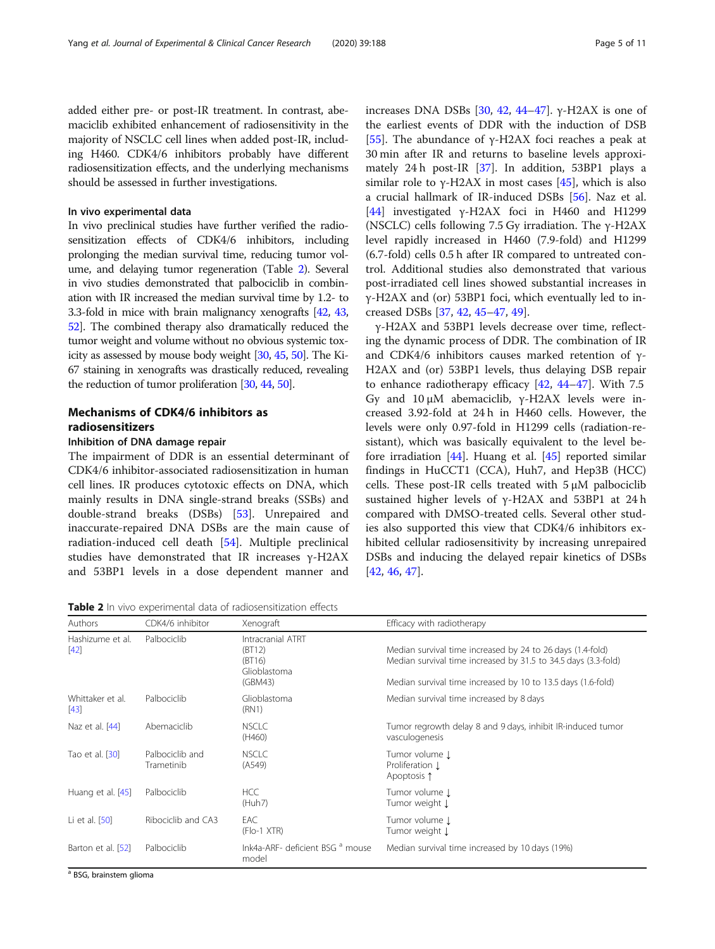added either pre- or post-IR treatment. In contrast, abemaciclib exhibited enhancement of radiosensitivity in the majority of NSCLC cell lines when added post-IR, including H460. CDK4/6 inhibitors probably have different radiosensitization effects, and the underlying mechanisms should be assessed in further investigations.

# In vivo experimental data

In vivo preclinical studies have further verified the radiosensitization effects of CDK4/6 inhibitors, including prolonging the median survival time, reducing tumor volume, and delaying tumor regeneration (Table 2). Several in vivo studies demonstrated that palbociclib in combination with IR increased the median survival time by 1.2- to 3.3-fold in mice with brain malignancy xenografts [\[42](#page-9-0), [43](#page-9-0), [52](#page-9-0)]. The combined therapy also dramatically reduced the tumor weight and volume without no obvious systemic toxicity as assessed by mouse body weight [[30,](#page-9-0) [45](#page-9-0), [50](#page-9-0)]. The Ki-67 staining in xenografts was drastically reduced, revealing the reduction of tumor proliferation [\[30,](#page-9-0) [44,](#page-9-0) [50\]](#page-9-0).

# Mechanisms of CDK4/6 inhibitors as radiosensitizers

# Inhibition of DNA damage repair

The impairment of DDR is an essential determinant of CDK4/6 inhibitor-associated radiosensitization in human cell lines. IR produces cytotoxic effects on DNA, which mainly results in DNA single-strand breaks (SSBs) and double-strand breaks (DSBs) [\[53\]](#page-9-0). Unrepaired and inaccurate-repaired DNA DSBs are the main cause of radiation-induced cell death [[54](#page-9-0)]. Multiple preclinical studies have demonstrated that IR increases γ-H2AX and 53BP1 levels in a dose dependent manner and

increases DNA DSBs [[30,](#page-9-0) [42](#page-9-0), [44](#page-9-0)–[47](#page-9-0)]. γ-H2AX is one of the earliest events of DDR with the induction of DSB [[55\]](#page-9-0). The abundance of  $\gamma$ -H2AX foci reaches a peak at 30 min after IR and returns to baseline levels approximately 24 h post-IR [\[37](#page-9-0)]. In addition, 53BP1 plays a similar role to  $\gamma$ -H2AX in most cases [[45\]](#page-9-0), which is also a crucial hallmark of IR-induced DSBs [\[56](#page-9-0)]. Naz et al. [[44\]](#page-9-0) investigated γ-H2AX foci in H460 and H1299 (NSCLC) cells following 7.5 Gy irradiation. The γ-H2AX level rapidly increased in H460 (7.9-fold) and H1299 (6.7-fold) cells 0.5 h after IR compared to untreated control. Additional studies also demonstrated that various post-irradiated cell lines showed substantial increases in γ-H2AX and (or) 53BP1 foci, which eventually led to increased DSBs [[37,](#page-9-0) [42,](#page-9-0) [45](#page-9-0)–[47](#page-9-0), [49](#page-9-0)].

γ-H2AX and 53BP1 levels decrease over time, reflecting the dynamic process of DDR. The combination of IR and CDK4/6 inhibitors causes marked retention of γ-H2AX and (or) 53BP1 levels, thus delaying DSB repair to enhance radiotherapy efficacy  $[42, 44-47]$  $[42, 44-47]$  $[42, 44-47]$  $[42, 44-47]$  $[42, 44-47]$  $[42, 44-47]$ . With 7.5 Gy and 10 μM abemaciclib, γ-H2AX levels were increased 3.92-fold at 24 h in H460 cells. However, the levels were only 0.97-fold in H1299 cells (radiation-resistant), which was basically equivalent to the level before irradiation [\[44\]](#page-9-0). Huang et al. [[45](#page-9-0)] reported similar findings in HuCCT1 (CCA), Huh7, and Hep3B (HCC) cells. These post-IR cells treated with 5 μM palbociclib sustained higher levels of γ-H2AX and 53BP1 at 24 h compared with DMSO-treated cells. Several other studies also supported this view that CDK4/6 inhibitors exhibited cellular radiosensitivity by increasing unrepaired DSBs and inducing the delayed repair kinetics of DSBs [[42,](#page-9-0) [46,](#page-9-0) [47\]](#page-9-0).

Table 2 In vivo experimental data of radiosensitization effects

| Authors                    | CDK4/6 inhibitor              | Xenograft                                                        | Efficacy with radiotherapy                                                                                                                                                                   |
|----------------------------|-------------------------------|------------------------------------------------------------------|----------------------------------------------------------------------------------------------------------------------------------------------------------------------------------------------|
| Hashizume et al.<br>$[42]$ | Palbociclib                   | Intracranial ATRT<br>(BT12)<br>(BT16)<br>Glioblastoma<br>(GBM43) | Median survival time increased by 24 to 26 days (1.4-fold)<br>Median survival time increased by 31.5 to 34.5 days (3.3-fold)<br>Median survival time increased by 10 to 13.5 days (1.6-fold) |
| Whittaker et al.<br>$[43]$ | Palbociclib                   | Glioblastoma<br>(RN1)                                            | Median survival time increased by 8 days                                                                                                                                                     |
| Naz et al. [44]            | Abemaciclib                   | <b>NSCLC</b><br>(H460)                                           | Tumor regrowth delay 8 and 9 days, inhibit IR-induced tumor<br>vasculogenesis                                                                                                                |
| Tao et al. [30]            | Palbociclib and<br>Trametinib | <b>NSCLC</b><br>(A549)                                           | Tumor volume J<br>Proliferation 1<br>Apoptosis 1                                                                                                                                             |
| Huang et al. [45]          | Palbociclib                   | <b>HCC</b><br>(Huh7)                                             | Tumor volume 1<br>Tumor weight Į                                                                                                                                                             |
| Li et al. [50]             | Ribociclib and CA3            | EAC<br>$( Flo-1 XTR)$                                            | Tumor volume 1<br>Tumor weight Į                                                                                                                                                             |
| Barton et al. [52]         | Palbociclib                   | Ink4a-ARF- deficient BSG <sup>a</sup> mouse<br>model             | Median survival time increased by 10 days (19%)                                                                                                                                              |

<sup>a</sup> BSG, brainstem glioma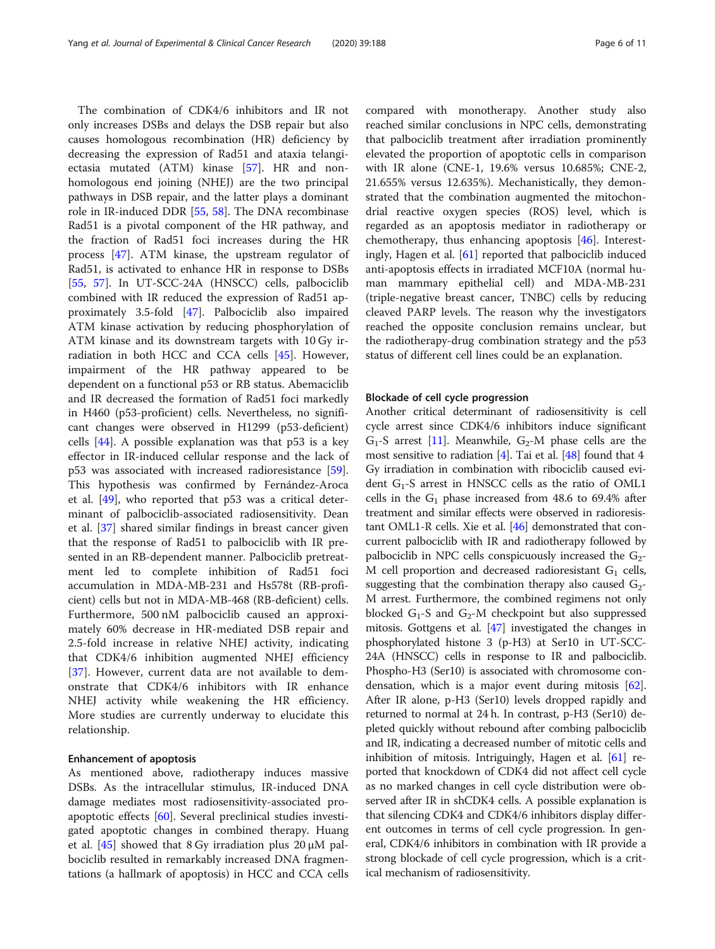The combination of CDK4/6 inhibitors and IR not only increases DSBs and delays the DSB repair but also causes homologous recombination (HR) deficiency by decreasing the expression of Rad51 and ataxia telangiectasia mutated (ATM) kinase [[57\]](#page-9-0). HR and nonhomologous end joining (NHEJ) are the two principal pathways in DSB repair, and the latter plays a dominant role in IR-induced DDR [[55,](#page-9-0) [58\]](#page-9-0). The DNA recombinase Rad51 is a pivotal component of the HR pathway, and the fraction of Rad51 foci increases during the HR process [[47\]](#page-9-0). ATM kinase, the upstream regulator of Rad51, is activated to enhance HR in response to DSBs [[55,](#page-9-0) [57\]](#page-9-0). In UT-SCC-24A (HNSCC) cells, palbociclib combined with IR reduced the expression of Rad51 approximately 3.5-fold [\[47](#page-9-0)]. Palbociclib also impaired ATM kinase activation by reducing phosphorylation of ATM kinase and its downstream targets with 10 Gy irradiation in both HCC and CCA cells [[45\]](#page-9-0). However, impairment of the HR pathway appeared to be dependent on a functional p53 or RB status. Abemaciclib and IR decreased the formation of Rad51 foci markedly in H460 (p53-proficient) cells. Nevertheless, no significant changes were observed in H1299 (p53-deficient) cells  $[44]$  $[44]$  $[44]$ . A possible explanation was that p53 is a key effector in IR-induced cellular response and the lack of p53 was associated with increased radioresistance [\[59](#page-9-0)]. This hypothesis was confirmed by Fernández-Aroca et al. [\[49](#page-9-0)], who reported that p53 was a critical determinant of palbociclib-associated radiosensitivity. Dean et al. [[37\]](#page-9-0) shared similar findings in breast cancer given that the response of Rad51 to palbociclib with IR presented in an RB-dependent manner. Palbociclib pretreatment led to complete inhibition of Rad51 foci accumulation in MDA-MB-231 and Hs578t (RB-proficient) cells but not in MDA-MB-468 (RB-deficient) cells. Furthermore, 500 nM palbociclib caused an approximately 60% decrease in HR-mediated DSB repair and 2.5-fold increase in relative NHEJ activity, indicating that CDK4/6 inhibition augmented NHEJ efficiency [[37\]](#page-9-0). However, current data are not available to demonstrate that CDK4/6 inhibitors with IR enhance NHEJ activity while weakening the HR efficiency. More studies are currently underway to elucidate this relationship.

# Enhancement of apoptosis

As mentioned above, radiotherapy induces massive DSBs. As the intracellular stimulus, IR-induced DNA damage mediates most radiosensitivity-associated proapoptotic effects [\[60](#page-9-0)]. Several preclinical studies investigated apoptotic changes in combined therapy. Huang et al.  $[45]$  showed that 8 Gy irradiation plus 20  $\mu$ M palbociclib resulted in remarkably increased DNA fragmentations (a hallmark of apoptosis) in HCC and CCA cells compared with monotherapy. Another study also reached similar conclusions in NPC cells, demonstrating that palbociclib treatment after irradiation prominently elevated the proportion of apoptotic cells in comparison with IR alone (CNE-1, 19.6% versus 10.685%; CNE-2, 21.655% versus 12.635%). Mechanistically, they demonstrated that the combination augmented the mitochondrial reactive oxygen species (ROS) level, which is regarded as an apoptosis mediator in radiotherapy or chemotherapy, thus enhancing apoptosis [\[46\]](#page-9-0). Interestingly, Hagen et al. [[61](#page-9-0)] reported that palbociclib induced anti-apoptosis effects in irradiated MCF10A (normal human mammary epithelial cell) and MDA-MB-231 (triple-negative breast cancer, TNBC) cells by reducing cleaved PARP levels. The reason why the investigators reached the opposite conclusion remains unclear, but the radiotherapy-drug combination strategy and the p53 status of different cell lines could be an explanation.

# Blockade of cell cycle progression

Another critical determinant of radiosensitivity is cell cycle arrest since CDK4/6 inhibitors induce significant  $G_1$ -S arrest [[11](#page-8-0)]. Meanwhile,  $G_2$ -M phase cells are the most sensitive to radiation  $[4]$ . Tai et al.  $[48]$  found that 4 Gy irradiation in combination with ribociclib caused evident  $G_1$ -S arrest in HNSCC cells as the ratio of OML1 cells in the  $G_1$  phase increased from 48.6 to 69.4% after treatment and similar effects were observed in radioresistant OML1-R cells. Xie et al. [[46](#page-9-0)] demonstrated that concurrent palbociclib with IR and radiotherapy followed by palbociclib in NPC cells conspicuously increased the  $G_2$ -M cell proportion and decreased radioresistant  $G_1$  cells, suggesting that the combination therapy also caused  $G_2$ -M arrest. Furthermore, the combined regimens not only blocked  $G_1$ -S and  $G_2$ -M checkpoint but also suppressed mitosis. Gottgens et al. [[47](#page-9-0)] investigated the changes in phosphorylated histone 3 (p-H3) at Ser10 in UT-SCC-24A (HNSCC) cells in response to IR and palbociclib. Phospho-H3 (Ser10) is associated with chromosome condensation, which is a major event during mitosis [[62](#page-9-0)]. After IR alone, p-H3 (Ser10) levels dropped rapidly and returned to normal at 24 h. In contrast, p-H3 (Ser10) depleted quickly without rebound after combing palbociclib and IR, indicating a decreased number of mitotic cells and inhibition of mitosis. Intriguingly, Hagen et al. [[61](#page-9-0)] reported that knockdown of CDK4 did not affect cell cycle as no marked changes in cell cycle distribution were observed after IR in shCDK4 cells. A possible explanation is that silencing CDK4 and CDK4/6 inhibitors display different outcomes in terms of cell cycle progression. In general, CDK4/6 inhibitors in combination with IR provide a strong blockade of cell cycle progression, which is a critical mechanism of radiosensitivity.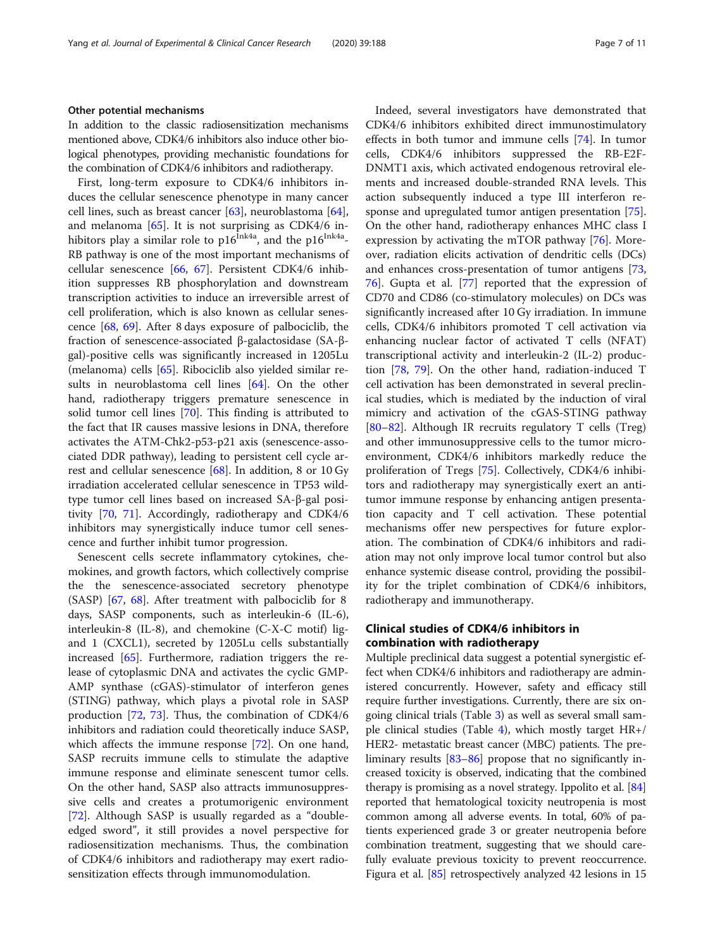# Other potential mechanisms

In addition to the classic radiosensitization mechanisms mentioned above, CDK4/6 inhibitors also induce other biological phenotypes, providing mechanistic foundations for the combination of CDK4/6 inhibitors and radiotherapy.

First, long-term exposure to CDK4/6 inhibitors induces the cellular senescence phenotype in many cancer cell lines, such as breast cancer [[63](#page-9-0)], neuroblastoma [\[64](#page-9-0)], and melanoma [[65\]](#page-9-0). It is not surprising as CDK4/6 inhibitors play a similar role to  $p16^{\text{ln}k4a}$ , and the  $p16^{\text{ln}k4a}$ -RB pathway is one of the most important mechanisms of cellular senescence [[66,](#page-9-0) [67\]](#page-9-0). Persistent CDK4/6 inhibition suppresses RB phosphorylation and downstream transcription activities to induce an irreversible arrest of cell proliferation, which is also known as cellular senescence [[68,](#page-9-0) [69](#page-9-0)]. After 8 days exposure of palbociclib, the fraction of senescence-associated β-galactosidase (SA-βgal)-positive cells was significantly increased in 1205Lu (melanoma) cells [[65](#page-9-0)]. Ribociclib also yielded similar results in neuroblastoma cell lines [[64\]](#page-9-0). On the other hand, radiotherapy triggers premature senescence in solid tumor cell lines [\[70](#page-9-0)]. This finding is attributed to the fact that IR causes massive lesions in DNA, therefore activates the ATM-Chk2-p53-p21 axis (senescence-associated DDR pathway), leading to persistent cell cycle arrest and cellular senescence [[68](#page-9-0)]. In addition, 8 or 10 Gy irradiation accelerated cellular senescence in TP53 wildtype tumor cell lines based on increased SA-β-gal positivity [\[70](#page-9-0), [71](#page-10-0)]. Accordingly, radiotherapy and CDK4/6 inhibitors may synergistically induce tumor cell senescence and further inhibit tumor progression.

Senescent cells secrete inflammatory cytokines, chemokines, and growth factors, which collectively comprise the the senescence-associated secretory phenotype (SASP) [[67,](#page-9-0) [68\]](#page-9-0). After treatment with palbociclib for 8 days, SASP components, such as interleukin-6 (IL-6), interleukin-8 (IL-8), and chemokine (C-X-C motif) ligand 1 (CXCL1), secreted by 1205Lu cells substantially increased [\[65](#page-9-0)]. Furthermore, radiation triggers the release of cytoplasmic DNA and activates the cyclic GMP-AMP synthase (cGAS)-stimulator of interferon genes (STING) pathway, which plays a pivotal role in SASP production [\[72](#page-10-0), [73](#page-10-0)]. Thus, the combination of CDK4/6 inhibitors and radiation could theoretically induce SASP, which affects the immune response [[72\]](#page-10-0). On one hand, SASP recruits immune cells to stimulate the adaptive immune response and eliminate senescent tumor cells. On the other hand, SASP also attracts immunosuppressive cells and creates a protumorigenic environment [[72\]](#page-10-0). Although SASP is usually regarded as a "doubleedged sword", it still provides a novel perspective for radiosensitization mechanisms. Thus, the combination of CDK4/6 inhibitors and radiotherapy may exert radiosensitization effects through immunomodulation.

Indeed, several investigators have demonstrated that CDK4/6 inhibitors exhibited direct immunostimulatory effects in both tumor and immune cells [\[74\]](#page-10-0). In tumor cells, CDK4/6 inhibitors suppressed the RB-E2F-DNMT1 axis, which activated endogenous retroviral elements and increased double-stranded RNA levels. This action subsequently induced a type III interferon response and upregulated tumor antigen presentation [\[75](#page-10-0)]. On the other hand, radiotherapy enhances MHC class I expression by activating the mTOR pathway [\[76](#page-10-0)]. Moreover, radiation elicits activation of dendritic cells (DCs) and enhances cross-presentation of tumor antigens [[73](#page-10-0), [76\]](#page-10-0). Gupta et al. [\[77](#page-10-0)] reported that the expression of CD70 and CD86 (co-stimulatory molecules) on DCs was significantly increased after 10 Gy irradiation. In immune cells, CDK4/6 inhibitors promoted T cell activation via enhancing nuclear factor of activated T cells (NFAT) transcriptional activity and interleukin-2 (IL-2) production [[78,](#page-10-0) [79](#page-10-0)]. On the other hand, radiation-induced T cell activation has been demonstrated in several preclinical studies, which is mediated by the induction of viral mimicry and activation of the cGAS-STING pathway [[80](#page-10-0)–[82](#page-10-0)]. Although IR recruits regulatory T cells (Treg) and other immunosuppressive cells to the tumor microenvironment, CDK4/6 inhibitors markedly reduce the proliferation of Tregs [\[75](#page-10-0)]. Collectively, CDK4/6 inhibitors and radiotherapy may synergistically exert an antitumor immune response by enhancing antigen presentation capacity and T cell activation. These potential mechanisms offer new perspectives for future exploration. The combination of CDK4/6 inhibitors and radiation may not only improve local tumor control but also enhance systemic disease control, providing the possibility for the triplet combination of CDK4/6 inhibitors, radiotherapy and immunotherapy.

# Clinical studies of CDK4/6 inhibitors in combination with radiotherapy

Multiple preclinical data suggest a potential synergistic effect when CDK4/6 inhibitors and radiotherapy are administered concurrently. However, safety and efficacy still require further investigations. Currently, there are six ongoing clinical trials (Table [3](#page-7-0)) as well as several small sam-ple clinical studies (Table [4\)](#page-7-0), which mostly target  $HR+/$ HER2- metastatic breast cancer (MBC) patients. The preliminary results [\[83](#page-10-0)–[86\]](#page-10-0) propose that no significantly increased toxicity is observed, indicating that the combined therapy is promising as a novel strategy. Ippolito et al. [[84](#page-10-0)] reported that hematological toxicity neutropenia is most common among all adverse events. In total, 60% of patients experienced grade 3 or greater neutropenia before combination treatment, suggesting that we should carefully evaluate previous toxicity to prevent reoccurrence. Figura et al. [\[85\]](#page-10-0) retrospectively analyzed 42 lesions in 15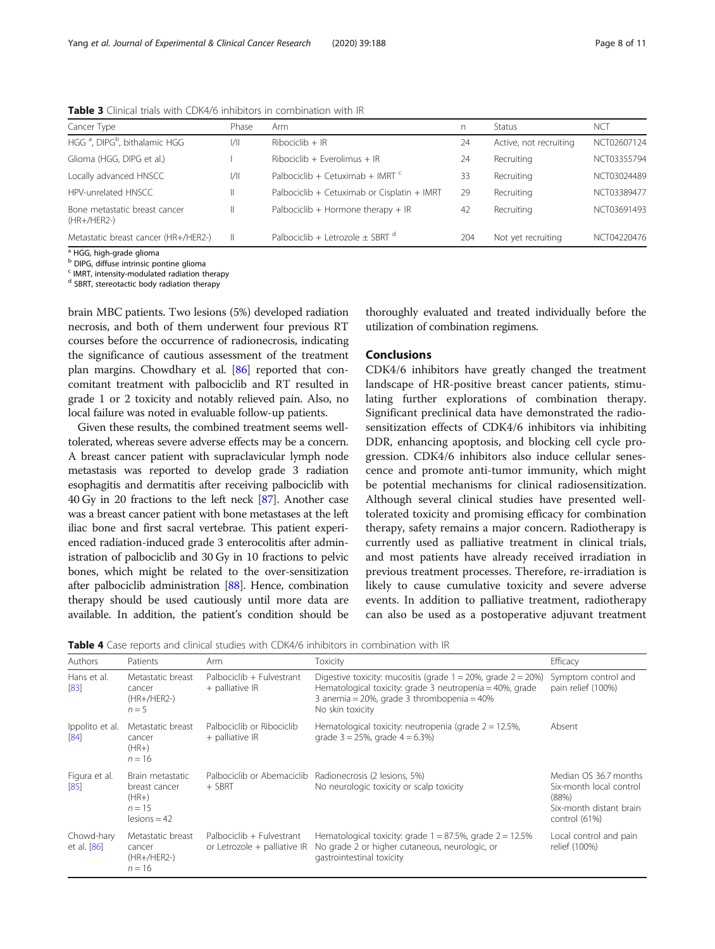| Cancer Type                                                                                                                                                                                                                                                                                                                                                                                                                                                                 | Phase | Arm                                         | n   | Status                 | NCT         |
|-----------------------------------------------------------------------------------------------------------------------------------------------------------------------------------------------------------------------------------------------------------------------------------------------------------------------------------------------------------------------------------------------------------------------------------------------------------------------------|-------|---------------------------------------------|-----|------------------------|-------------|
| HGG <sup>a</sup> , DIPG <sup>b</sup> , bithalamic HGG                                                                                                                                                                                                                                                                                                                                                                                                                       | 1/    | $Ribociclib + IR$                           | 24  | Active, not recruiting | NCT02607124 |
| Glioma (HGG, DIPG et al.)                                                                                                                                                                                                                                                                                                                                                                                                                                                   |       | Ribociclib + Everolimus + IR                | 24  | Recruiting             | NCT03355794 |
| Locally advanced HNSCC                                                                                                                                                                                                                                                                                                                                                                                                                                                      | 1/    | Palbociclib + Cetuximab + IMRT $c$          | 33  | Recruiting             | NCT03024489 |
| HPV-unrelated HNSCC                                                                                                                                                                                                                                                                                                                                                                                                                                                         | Ш     | Palbociclib + Cetuximab or Cisplatin + IMRT | 29  | Recruiting             | NCT03389477 |
| Bone metastatic breast cancer<br>(HR+/HER2-)                                                                                                                                                                                                                                                                                                                                                                                                                                | Ш.    | Palbociclib + Hormone therapy + $IR$        | 42  | Recruiting             | NCT03691493 |
| Metastatic breast cancer (HR+/HER2-)                                                                                                                                                                                                                                                                                                                                                                                                                                        | Ш.    | Palbociclib + Letrozole $\pm$ SBRT $^d$     | 204 | Not yet recruiting     | NCT04220476 |
| $\begin{array}{ccccccccccccccccc} \multicolumn{4}{c }{\multicolumn{4}{c }{\multicolumn{4}{c }{\multicolumn{4}{c }{\multicolumn{4}{c }{\multicolumn{4}{c}}}} & \multicolumn{4}{c }{\multicolumn{4}{c }{\multicolumn{4}{c }{\multicolumn{4}{c}}}} & \multicolumn{4}{c }{\multicolumn{4}{c }{\multicolumn{4}{c }{\multicolumn{4}{c }{\multicolumn{4}{c }{\multicolumn{4}{c }{\multicolumn{4}{c }{\multicolumn{4}{c }{\multicolumn{4}{c }{\multicolumn{4}{c }{\multicolumn{4}{$ |       |                                             |     |                        |             |

<span id="page-7-0"></span>Table 3 Clinical trials with CDK4/6 inhibitors in combination with IR

<sup>1</sup> HGG, high-grade glioma

b DIPG, diffuse intrinsic pontine glioma

<sup>c</sup> IMRT, intensity-modulated radiation therapy

<sup>d</sup> SBRT, stereotactic body radiation therapy

brain MBC patients. Two lesions (5%) developed radiation necrosis, and both of them underwent four previous RT courses before the occurrence of radionecrosis, indicating the significance of cautious assessment of the treatment plan margins. Chowdhary et al. [\[86\]](#page-10-0) reported that concomitant treatment with palbociclib and RT resulted in grade 1 or 2 toxicity and notably relieved pain. Also, no local failure was noted in evaluable follow-up patients.

Given these results, the combined treatment seems welltolerated, whereas severe adverse effects may be a concern. A breast cancer patient with supraclavicular lymph node metastasis was reported to develop grade 3 radiation esophagitis and dermatitis after receiving palbociclib with 40 Gy in 20 fractions to the left neck [\[87\]](#page-10-0). Another case was a breast cancer patient with bone metastases at the left iliac bone and first sacral vertebrae. This patient experienced radiation-induced grade 3 enterocolitis after administration of palbociclib and 30 Gy in 10 fractions to pelvic bones, which might be related to the over-sensitization after palbociclib administration [\[88\]](#page-10-0). Hence, combination therapy should be used cautiously until more data are available. In addition, the patient's condition should be

thoroughly evaluated and treated individually before the utilization of combination regimens.

# Conclusions

CDK4/6 inhibitors have greatly changed the treatment landscape of HR-positive breast cancer patients, stimulating further explorations of combination therapy. Significant preclinical data have demonstrated the radiosensitization effects of CDK4/6 inhibitors via inhibiting DDR, enhancing apoptosis, and blocking cell cycle progression. CDK4/6 inhibitors also induce cellular senescence and promote anti-tumor immunity, which might be potential mechanisms for clinical radiosensitization. Although several clinical studies have presented welltolerated toxicity and promising efficacy for combination therapy, safety remains a major concern. Radiotherapy is currently used as palliative treatment in clinical trials, and most patients have already received irradiation in previous treatment processes. Therefore, re-irradiation is likely to cause cumulative toxicity and severe adverse events. In addition to palliative treatment, radiotherapy can also be used as a postoperative adjuvant treatment

**Table 4** Case reports and clinical studies with CDK4/6 inhibitors in combination with IR

| <b>Authors</b>            | Patients                                                                   | Arm                                                       | Toxicity                                                                                                                                                                                                  | Efficacy                                                                                              |
|---------------------------|----------------------------------------------------------------------------|-----------------------------------------------------------|-----------------------------------------------------------------------------------------------------------------------------------------------------------------------------------------------------------|-------------------------------------------------------------------------------------------------------|
| Hans et al.<br>[83]       | Metastatic breast<br>cancer<br>(HR+/HER2-)<br>$n=5$                        | Palbociclib + Fulvestrant<br>$+$ palliative IR            | Digestive toxicity: mucositis (grade $1 = 20\%$ , grade $2 = 20\%$ )<br>Hematological toxicity: grade 3 neutropenia = 40%, grade<br>3 anemia = $20\%$ , grade 3 thrombopenia = $40\%$<br>No skin toxicity | Symptom control and<br>pain relief (100%)                                                             |
| Ippolito et al.<br>[84]   | Metastatic breast<br>cancer<br>$(HR+)$<br>$n = 16$                         | Palbociclib or Ribociclib<br>$+$ palliative IR            | Hematological toxicity: neutropenia (grade $2 = 12.5\%$ ,<br>grade $3 = 25\%$ , grade $4 = 6.3\%$                                                                                                         | Absent                                                                                                |
| Figura et al.<br>[85]     | Brain metastatic<br>breast cancer<br>$(HR+)$<br>$n = 15$<br>$lesions = 42$ | $+$ SBRT                                                  | Palbociclib or Abemaciclib Radionecrosis (2 lesions, 5%)<br>No neurologic toxicity or scalp toxicity                                                                                                      | Median OS 36.7 months<br>Six-month local control<br>(88%)<br>Six-month distant brain<br>control (61%) |
| Chowd-hary<br>et al. [86] | Metastatic breast<br>cancer<br>(HR+/HER2-)<br>$n = 16$                     | Palbociclib + Fulvestrant<br>or Letrozole + palliative IR | Hematological toxicity: grade $1 = 87.5\%$ , grade $2 = 12.5\%$<br>No grade 2 or higher cutaneous, neurologic, or<br>gastrointestinal toxicity                                                            | Local control and pain<br>relief (100%)                                                               |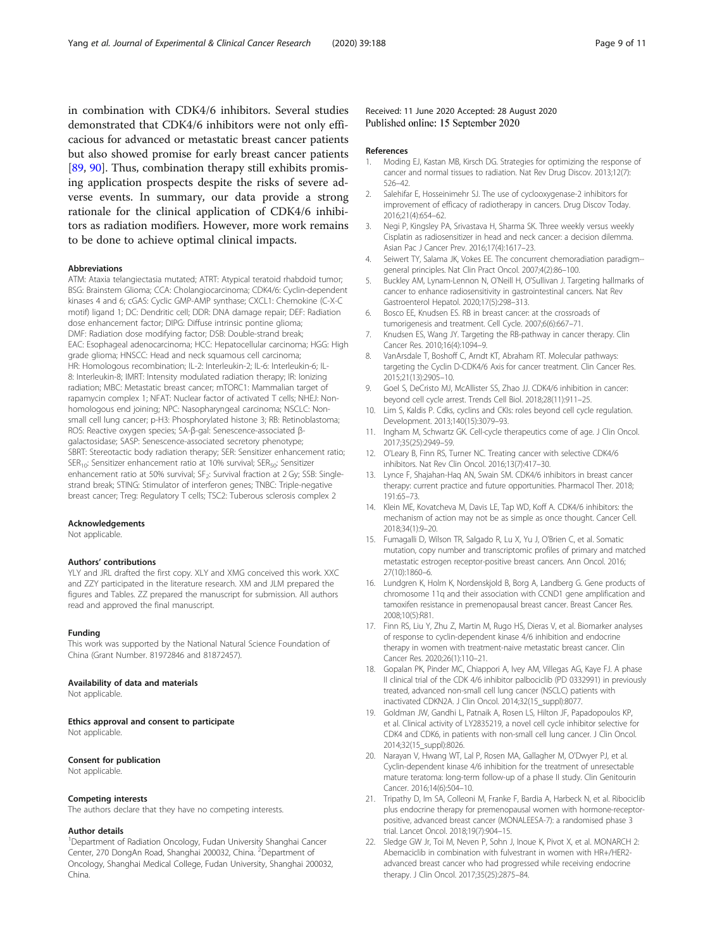<span id="page-8-0"></span>in combination with CDK4/6 inhibitors. Several studies demonstrated that CDK4/6 inhibitors were not only efficacious for advanced or metastatic breast cancer patients but also showed promise for early breast cancer patients [[89,](#page-10-0) [90\]](#page-10-0). Thus, combination therapy still exhibits promising application prospects despite the risks of severe adverse events. In summary, our data provide a strong rationale for the clinical application of CDK4/6 inhibitors as radiation modifiers. However, more work remains to be done to achieve optimal clinical impacts.

### Abbreviations

ATM: Ataxia telangiectasia mutated; ATRT: Atypical teratoid rhabdoid tumor; BSG: Brainstem Glioma; CCA: Cholangiocarcinoma; CDK4/6: Cyclin-dependent kinases 4 and 6; cGAS: Cyclic GMP-AMP synthase; CXCL1: Chemokine (C-X-C motif) ligand 1; DC: Dendritic cell; DDR: DNA damage repair; DEF: Radiation dose enhancement factor; DIPG: Diffuse intrinsic pontine glioma; DMF: Radiation dose modifying factor; DSB: Double-strand break; EAC: Esophageal adenocarcinoma; HCC: Hepatocellular carcinoma; HGG: High grade glioma; HNSCC: Head and neck squamous cell carcinoma; HR: Homologous recombination; IL-2: Interleukin-2; IL-6: Interleukin-6; IL-8: Interleukin-8; IMRT: Intensity modulated radiation therapy; IR: Ionizing radiation; MBC: Metastatic breast cancer; mTORC1: Mammalian target of rapamycin complex 1; NFAT: Nuclear factor of activated T cells; NHEJ: Nonhomologous end joining; NPC: Nasopharyngeal carcinoma; NSCLC: Nonsmall cell lung cancer; p-H3: Phosphorylated histone 3; RB: Retinoblastoma; ROS: Reactive oxygen species; SA-β-gal: Senescence-associated βgalactosidase; SASP: Senescence-associated secretory phenotype; SBRT: Stereotactic body radiation therapy; SER: Sensitizer enhancement ratio;  $SER_{10}$ : Sensitizer enhancement ratio at 10% survival; SER<sub>50</sub>: Sensitizer enhancement ratio at 50% survival; SF<sub>2</sub>: Survival fraction at 2 Gy; SSB: Singlestrand break; STING: Stimulator of interferon genes; TNBC: Triple-negative breast cancer; Treg: Regulatory T cells; TSC2: Tuberous sclerosis complex 2

# Acknowledgements

Not applicable.

## Authors' contributions

YLY and JRL drafted the first copy. XLY and XMG conceived this work. XXC and ZZY participated in the literature research. XM and JLM prepared the figures and Tables. ZZ prepared the manuscript for submission. All authors read and approved the final manuscript.

# Funding

This work was supported by the National Natural Science Foundation of China (Grant Number. 81972846 and 81872457).

#### Availability of data and materials

Not applicable.

#### Ethics approval and consent to participate

Not applicable.

#### Consent for publication

Not applicable.

#### Competing interests

The authors declare that they have no competing interests.

# Author details

<sup>1</sup>Department of Radiation Oncology, Fudan University Shanghai Cancer Center, 270 DongAn Road, Shanghai 200032, China. <sup>2</sup>Department of Oncology, Shanghai Medical College, Fudan University, Shanghai 200032, China.

# Received: 11 June 2020 Accepted: 28 August 2020 Published online: 15 September 2020

#### References

- 1. Moding EJ, Kastan MB, Kirsch DG. Strategies for optimizing the response of cancer and normal tissues to radiation. Nat Rev Drug Discov. 2013;12(7): 526–42.
- 2. Salehifar E, Hosseinimehr SJ. The use of cyclooxygenase-2 inhibitors for improvement of efficacy of radiotherapy in cancers. Drug Discov Today. 2016;21(4):654–62.
- 3. Negi P, Kingsley PA, Srivastava H, Sharma SK. Three weekly versus weekly Cisplatin as radiosensitizer in head and neck cancer: a decision dilemma. Asian Pac J Cancer Prev. 2016;17(4):1617–23.
- 4. Seiwert TY, Salama JK, Vokes EE. The concurrent chemoradiation paradigm- general principles. Nat Clin Pract Oncol. 2007;4(2):86–100.
- 5. Buckley AM, Lynam-Lennon N, O'Neill H, O'Sullivan J. Targeting hallmarks of cancer to enhance radiosensitivity in gastrointestinal cancers. Nat Rev Gastroenterol Hepatol. 2020;17(5):298–313.
- Bosco EE, Knudsen ES. RB in breast cancer: at the crossroads of tumorigenesis and treatment. Cell Cycle. 2007;6(6):667–71.
- Knudsen ES, Wang JY. Targeting the RB-pathway in cancer therapy. Clin Cancer Res. 2010;16(4):1094–9.
- 8. VanArsdale T, Boshoff C, Arndt KT, Abraham RT. Molecular pathways: targeting the Cyclin D-CDK4/6 Axis for cancer treatment. Clin Cancer Res. 2015;21(13):2905–10.
- 9. Goel S, DeCristo MJ, McAllister SS, Zhao JJ. CDK4/6 inhibition in cancer: beyond cell cycle arrest. Trends Cell Biol. 2018;28(11):911–25.
- 10. Lim S, Kaldis P. Cdks, cyclins and CKIs: roles beyond cell cycle regulation. Development. 2013;140(15):3079–93.
- 11. Ingham M, Schwartz GK. Cell-cycle therapeutics come of age. J Clin Oncol. 2017;35(25):2949–59.
- 12. O'Leary B, Finn RS, Turner NC. Treating cancer with selective CDK4/6 inhibitors. Nat Rev Clin Oncol. 2016;13(7):417–30.
- 13. Lynce F, Shajahan-Haq AN, Swain SM. CDK4/6 inhibitors in breast cancer therapy: current practice and future opportunities. Pharmacol Ther. 2018; 191:65–73.
- 14. Klein ME, Kovatcheva M, Davis LE, Tap WD, Koff A. CDK4/6 inhibitors: the mechanism of action may not be as simple as once thought. Cancer Cell. 2018;34(1):9–20.
- 15. Fumagalli D, Wilson TR, Salgado R, Lu X, Yu J, O'Brien C, et al. Somatic mutation, copy number and transcriptomic profiles of primary and matched metastatic estrogen receptor-positive breast cancers. Ann Oncol. 2016; 27(10):1860–6.
- 16. Lundgren K, Holm K, Nordenskjold B, Borg A, Landberg G. Gene products of chromosome 11q and their association with CCND1 gene amplification and tamoxifen resistance in premenopausal breast cancer. Breast Cancer Res. 2008;10(5):R81.
- 17. Finn RS, Liu Y, Zhu Z, Martin M, Rugo HS, Dieras V, et al. Biomarker analyses of response to cyclin-dependent kinase 4/6 inhibition and endocrine therapy in women with treatment-naive metastatic breast cancer. Clin Cancer Res. 2020;26(1):110–21.
- 18. Gopalan PK, Pinder MC, Chiappori A, Ivey AM, Villegas AG, Kaye FJ. A phase II clinical trial of the CDK 4/6 inhibitor palbociclib (PD 0332991) in previously treated, advanced non-small cell lung cancer (NSCLC) patients with inactivated CDKN2A. J Clin Oncol. 2014;32(15\_suppl):8077.
- 19. Goldman JW, Gandhi L, Patnaik A, Rosen LS, Hilton JF, Papadopoulos KP, et al. Clinical activity of LY2835219, a novel cell cycle inhibitor selective for CDK4 and CDK6, in patients with non-small cell lung cancer. J Clin Oncol. 2014;32(15\_suppl):8026.
- 20. Narayan V, Hwang WT, Lal P, Rosen MA, Gallagher M, O'Dwyer PJ, et al. Cyclin-dependent kinase 4/6 inhibition for the treatment of unresectable mature teratoma: long-term follow-up of a phase II study. Clin Genitourin Cancer. 2016;14(6):504–10.
- 21. Tripathy D, Im SA, Colleoni M, Franke F, Bardia A, Harbeck N, et al. Ribociclib plus endocrine therapy for premenopausal women with hormone-receptorpositive, advanced breast cancer (MONALEESA-7): a randomised phase 3 trial. Lancet Oncol. 2018;19(7):904–15.
- 22. Sledge GW Jr, Toi M, Neven P, Sohn J, Inoue K, Pivot X, et al. MONARCH 2: Abemaciclib in combination with fulvestrant in women with HR+/HER2 advanced breast cancer who had progressed while receiving endocrine therapy. J Clin Oncol. 2017;35(25):2875–84.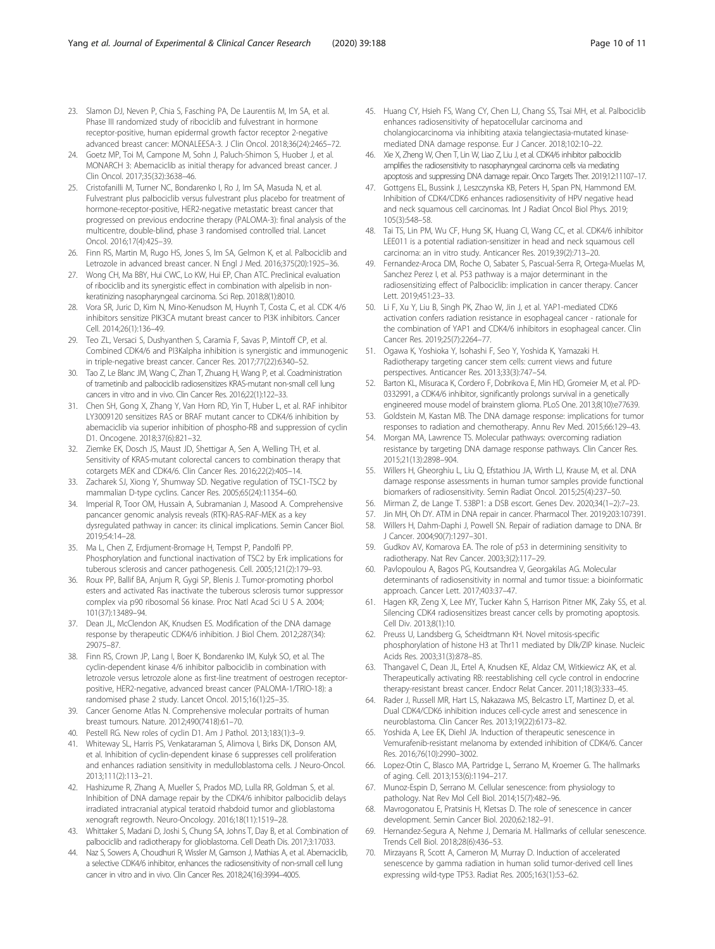- <span id="page-9-0"></span>23. Slamon DJ, Neven P, Chia S, Fasching PA, De Laurentiis M, Im SA, et al. Phase III randomized study of ribociclib and fulvestrant in hormone receptor-positive, human epidermal growth factor receptor 2-negative advanced breast cancer: MONALEESA-3. J Clin Oncol. 2018;36(24):2465–72.
- 24. Goetz MP, Toi M, Campone M, Sohn J, Paluch-Shimon S, Huober J, et al. MONARCH 3: Abemaciclib as initial therapy for advanced breast cancer. J Clin Oncol. 2017;35(32):3638–46.
- 25. Cristofanilli M, Turner NC, Bondarenko I, Ro J, Im SA, Masuda N, et al. Fulvestrant plus palbociclib versus fulvestrant plus placebo for treatment of hormone-receptor-positive, HER2-negative metastatic breast cancer that progressed on previous endocrine therapy (PALOMA-3): final analysis of the multicentre, double-blind, phase 3 randomised controlled trial. Lancet Oncol. 2016;17(4):425–39.
- 26. Finn RS, Martin M, Rugo HS, Jones S, Im SA, Gelmon K, et al. Palbociclib and Letrozole in advanced breast cancer. N Engl J Med. 2016;375(20):1925–36.
- 27. Wong CH, Ma BBY, Hui CWC, Lo KW, Hui EP, Chan ATC. Preclinical evaluation of ribociclib and its synergistic effect in combination with alpelisib in nonkeratinizing nasopharyngeal carcinoma. Sci Rep. 2018;8(1):8010.
- 28. Vora SR, Juric D, Kim N, Mino-Kenudson M, Huynh T, Costa C, et al. CDK 4/6 inhibitors sensitize PIK3CA mutant breast cancer to PI3K inhibitors. Cancer Cell. 2014;26(1):136–49.
- 29. Teo ZL, Versaci S, Dushyanthen S, Caramia F, Savas P, Mintoff CP, et al. Combined CDK4/6 and PI3Kalpha inhibition is synergistic and immunogenic in triple-negative breast cancer. Cancer Res. 2017;77(22):6340–52.
- 30. Tao Z, Le Blanc JM, Wang C, Zhan T, Zhuang H, Wang P, et al. Coadministration of trametinib and palbociclib radiosensitizes KRAS-mutant non-small cell lung cancers in vitro and in vivo. Clin Cancer Res. 2016;22(1):122–33.
- 31. Chen SH, Gong X, Zhang Y, Van Horn RD, Yin T, Huber L, et al. RAF inhibitor LY3009120 sensitizes RAS or BRAF mutant cancer to CDK4/6 inhibition by abemaciclib via superior inhibition of phospho-RB and suppression of cyclin D1. Oncogene. 2018;37(6):821–32.
- 32. Ziemke EK, Dosch JS, Maust JD, Shettigar A, Sen A, Welling TH, et al. Sensitivity of KRAS-mutant colorectal cancers to combination therapy that cotargets MEK and CDK4/6. Clin Cancer Res. 2016;22(2):405–14.
- 33. Zacharek SJ, Xiong Y, Shumway SD. Negative regulation of TSC1-TSC2 by mammalian D-type cyclins. Cancer Res. 2005;65(24):11354–60.
- 34. Imperial R, Toor OM, Hussain A, Subramanian J, Masood A. Comprehensive pancancer genomic analysis reveals (RTK)-RAS-RAF-MEK as a key dysregulated pathway in cancer: its clinical implications. Semin Cancer Biol. 2019;54:14–28.
- 35. Ma L, Chen Z, Erdjument-Bromage H, Tempst P, Pandolfi PP. Phosphorylation and functional inactivation of TSC2 by Erk implications for tuberous sclerosis and cancer pathogenesis. Cell. 2005;121(2):179–93.
- 36. Roux PP, Ballif BA, Anjum R, Gygi SP, Blenis J. Tumor-promoting phorbol esters and activated Ras inactivate the tuberous sclerosis tumor suppressor complex via p90 ribosomal S6 kinase. Proc Natl Acad Sci U S A. 2004; 101(37):13489–94.
- 37. Dean JL, McClendon AK, Knudsen ES. Modification of the DNA damage response by therapeutic CDK4/6 inhibition. J Biol Chem. 2012;287(34): 29075–87.
- 38. Finn RS, Crown JP, Lang I, Boer K, Bondarenko IM, Kulyk SO, et al. The cyclin-dependent kinase 4/6 inhibitor palbociclib in combination with letrozole versus letrozole alone as first-line treatment of oestrogen receptorpositive, HER2-negative, advanced breast cancer (PALOMA-1/TRIO-18): a randomised phase 2 study. Lancet Oncol. 2015;16(1):25–35.
- 39. Cancer Genome Atlas N. Comprehensive molecular portraits of human breast tumours. Nature. 2012;490(7418):61–70.
- 40. Pestell RG. New roles of cyclin D1. Am J Pathol. 2013;183(1):3–9.
- 41. Whiteway SL, Harris PS, Venkataraman S, Alimova I, Birks DK, Donson AM, et al. Inhibition of cyclin-dependent kinase 6 suppresses cell proliferation and enhances radiation sensitivity in medulloblastoma cells. J Neuro-Oncol. 2013;111(2):113–21.
- 42. Hashizume R, Zhang A, Mueller S, Prados MD, Lulla RR, Goldman S, et al. Inhibition of DNA damage repair by the CDK4/6 inhibitor palbociclib delays irradiated intracranial atypical teratoid rhabdoid tumor and glioblastoma xenograft regrowth. Neuro-Oncology. 2016;18(11):1519–28.
- 43. Whittaker S, Madani D, Joshi S, Chung SA, Johns T, Day B, et al. Combination of palbociclib and radiotherapy for glioblastoma. Cell Death Dis. 2017;3:17033.
- 44. Naz S, Sowers A, Choudhuri R, Wissler M, Gamson J, Mathias A, et al. Abemaciclib, a selective CDK4/6 inhibitor, enhances the radiosensitivity of non-small cell lung cancer in vitro and in vivo. Clin Cancer Res. 2018;24(16):3994–4005.
- 45. Huang CY, Hsieh FS, Wang CY, Chen LJ, Chang SS, Tsai MH, et al. Palbociclib enhances radiosensitivity of hepatocellular carcinoma and cholangiocarcinoma via inhibiting ataxia telangiectasia-mutated kinasemediated DNA damage response. Eur J Cancer. 2018;102:10–22.
- 46. Xie X, Zheng W, Chen T, Lin W, Liao Z, Liu J, et al. CDK4/6 inhibitor palbociclib amplifies the radiosensitivity to nasopharyngeal carcinoma cells via mediating apoptosis and suppressing DNA damage repair. Onco Targets Ther. 2019;12:11107–17.
- 47. Gottgens EL, Bussink J, Leszczynska KB, Peters H, Span PN, Hammond EM. Inhibition of CDK4/CDK6 enhances radiosensitivity of HPV negative head and neck squamous cell carcinomas. Int J Radiat Oncol Biol Phys. 2019; 105(3):548–58.
- 48. Tai TS, Lin PM, Wu CF, Hung SK, Huang CI, Wang CC, et al. CDK4/6 inhibitor LEE011 is a potential radiation-sensitizer in head and neck squamous cell carcinoma: an in vitro study. Anticancer Res. 2019;39(2):713–20.
- 49. Fernandez-Aroca DM, Roche O, Sabater S, Pascual-Serra R, Ortega-Muelas M, Sanchez Perez I, et al. P53 pathway is a major determinant in the radiosensitizing effect of Palbociclib: implication in cancer therapy. Cancer Lett. 2019;451:23–33.
- 50. Li F, Xu Y, Liu B, Singh PK, Zhao W, Jin J, et al. YAP1-mediated CDK6 activation confers radiation resistance in esophageal cancer - rationale for the combination of YAP1 and CDK4/6 inhibitors in esophageal cancer. Clin Cancer Res. 2019;25(7):2264–77.
- 51. Ogawa K, Yoshioka Y, Isohashi F, Seo Y, Yoshida K, Yamazaki H. Radiotherapy targeting cancer stem cells: current views and future perspectives. Anticancer Res. 2013;33(3):747–54.
- 52. Barton KL, Misuraca K, Cordero F, Dobrikova E, Min HD, Gromeier M, et al. PD-0332991, a CDK4/6 inhibitor, significantly prolongs survival in a genetically engineered mouse model of brainstem glioma. PLoS One. 2013;8(10):e77639.
- 53. Goldstein M, Kastan MB. The DNA damage response: implications for tumor responses to radiation and chemotherapy. Annu Rev Med. 2015;66:129–43.
- 54. Morgan MA, Lawrence TS. Molecular pathways: overcoming radiation resistance by targeting DNA damage response pathways. Clin Cancer Res. 2015;21(13):2898–904.
- 55. Willers H, Gheorghiu L, Liu Q, Efstathiou JA, Wirth LJ, Krause M, et al. DNA damage response assessments in human tumor samples provide functional biomarkers of radiosensitivity. Semin Radiat Oncol. 2015;25(4):237–50.
- 56. Mirman Z, de Lange T. 53BP1: a DSB escort. Genes Dev. 2020;34(1–2):7–23.
- 57. Jin MH, Oh DY. ATM in DNA repair in cancer. Pharmacol Ther. 2019;203:107391.
- 58. Willers H, Dahm-Daphi J, Powell SN. Repair of radiation damage to DNA. Br J Cancer. 2004;90(7):1297–301.
- 59. Gudkov AV, Komarova EA. The role of p53 in determining sensitivity to radiotherapy. Nat Rev Cancer. 2003;3(2):117–29.
- Pavlopoulou A, Bagos PG, Koutsandrea V, Georgakilas AG. Molecular determinants of radiosensitivity in normal and tumor tissue: a bioinformatic approach. Cancer Lett. 2017;403:37–47.
- 61. Hagen KR, Zeng X, Lee MY, Tucker Kahn S, Harrison Pitner MK, Zaky SS, et al. Silencing CDK4 radiosensitizes breast cancer cells by promoting apoptosis. Cell Div. 2013;8(1):10.
- 62. Preuss U, Landsberg G, Scheidtmann KH. Novel mitosis-specific phosphorylation of histone H3 at Thr11 mediated by Dlk/ZIP kinase. Nucleic Acids Res. 2003;31(3):878–85.
- 63. Thangavel C, Dean JL, Ertel A, Knudsen KE, Aldaz CM, Witkiewicz AK, et al. Therapeutically activating RB: reestablishing cell cycle control in endocrine therapy-resistant breast cancer. Endocr Relat Cancer. 2011;18(3):333–45.
- 64. Rader J, Russell MR, Hart LS, Nakazawa MS, Belcastro LT, Martinez D, et al. Dual CDK4/CDK6 inhibition induces cell-cycle arrest and senescence in neuroblastoma. Clin Cancer Res. 2013;19(22):6173–82.
- 65. Yoshida A, Lee EK, Diehl JA. Induction of therapeutic senescence in Vemurafenib-resistant melanoma by extended inhibition of CDK4/6. Cancer Res. 2016;76(10):2990–3002.
- Lopez-Otin C, Blasco MA, Partridge L, Serrano M, Kroemer G. The hallmarks of aging. Cell. 2013;153(6):1194–217.
- 67. Munoz-Espin D, Serrano M. Cellular senescence: from physiology to pathology. Nat Rev Mol Cell Biol. 2014;15(7):482–96.
- 68. Mavrogonatou E, Pratsinis H, Kletsas D. The role of senescence in cancer development. Semin Cancer Biol. 2020;62:182–91.
- 69. Hernandez-Segura A, Nehme J, Demaria M. Hallmarks of cellular senescence. Trends Cell Biol. 2018;28(6):436–53.
- 70. Mirzayans R, Scott A, Cameron M, Murray D. Induction of accelerated senescence by gamma radiation in human solid tumor-derived cell lines expressing wild-type TP53. Radiat Res. 2005;163(1):53–62.